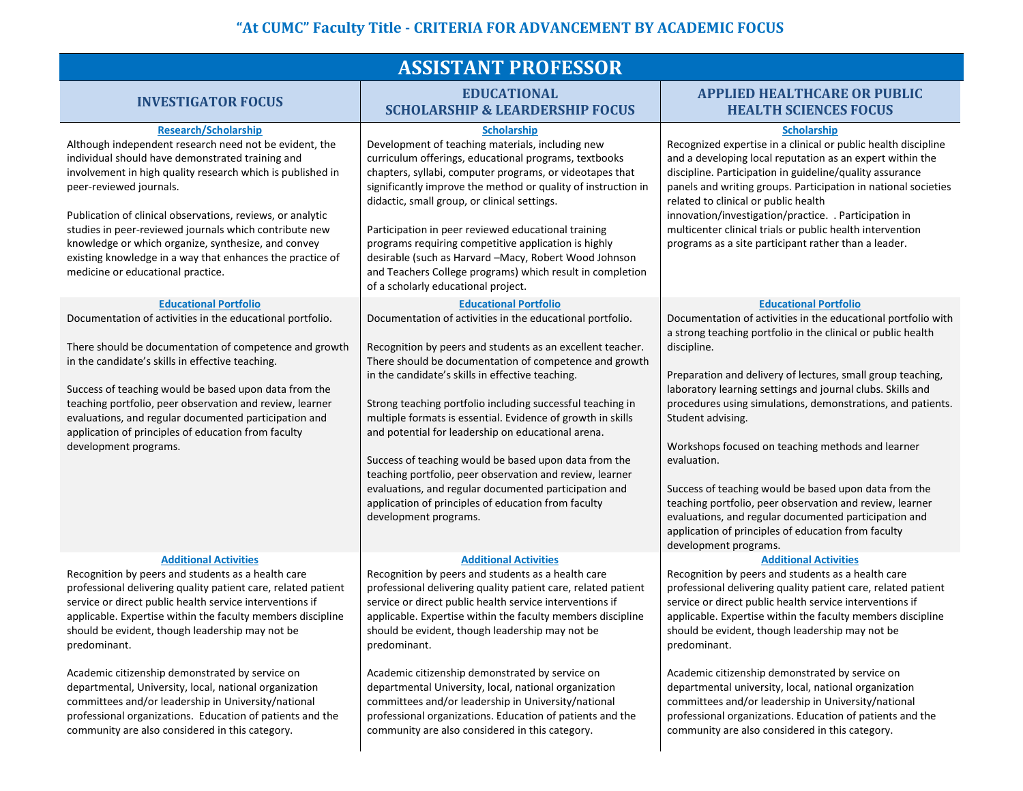| <b>ASSISTANT PROFESSOR</b>                                                                                                                                                                                                                                                                                                                                                                                                                                                                                                                                                                                                            |                                                                                                                                                                                                                                                                                                                                                                                                                                                                                                                                                                                                                                                                                                                        |                                                                                                                                                                                                                                                                                                                                                                                                                                                                                                                                                                                                                                                                                                                                 |  |
|---------------------------------------------------------------------------------------------------------------------------------------------------------------------------------------------------------------------------------------------------------------------------------------------------------------------------------------------------------------------------------------------------------------------------------------------------------------------------------------------------------------------------------------------------------------------------------------------------------------------------------------|------------------------------------------------------------------------------------------------------------------------------------------------------------------------------------------------------------------------------------------------------------------------------------------------------------------------------------------------------------------------------------------------------------------------------------------------------------------------------------------------------------------------------------------------------------------------------------------------------------------------------------------------------------------------------------------------------------------------|---------------------------------------------------------------------------------------------------------------------------------------------------------------------------------------------------------------------------------------------------------------------------------------------------------------------------------------------------------------------------------------------------------------------------------------------------------------------------------------------------------------------------------------------------------------------------------------------------------------------------------------------------------------------------------------------------------------------------------|--|
| <b>INVESTIGATOR FOCUS</b>                                                                                                                                                                                                                                                                                                                                                                                                                                                                                                                                                                                                             | <b>EDUCATIONAL</b><br><b>SCHOLARSHIP &amp; LEARDERSHIP FOCUS</b>                                                                                                                                                                                                                                                                                                                                                                                                                                                                                                                                                                                                                                                       | <b>APPLIED HEALTHCARE OR PUBLIC</b><br><b>HEALTH SCIENCES FOCUS</b>                                                                                                                                                                                                                                                                                                                                                                                                                                                                                                                                                                                                                                                             |  |
| <b>Research/Scholarship</b><br>Although independent research need not be evident, the<br>individual should have demonstrated training and<br>involvement in high quality research which is published in<br>peer-reviewed journals.<br>Publication of clinical observations, reviews, or analytic<br>studies in peer-reviewed journals which contribute new<br>knowledge or which organize, synthesize, and convey<br>existing knowledge in a way that enhances the practice of<br>medicine or educational practice.                                                                                                                   | <b>Scholarship</b><br>Development of teaching materials, including new<br>curriculum offerings, educational programs, textbooks<br>chapters, syllabi, computer programs, or videotapes that<br>significantly improve the method or quality of instruction in<br>didactic, small group, or clinical settings.<br>Participation in peer reviewed educational training<br>programs requiring competitive application is highly<br>desirable (such as Harvard -Macy, Robert Wood Johnson<br>and Teachers College programs) which result in completion<br>of a scholarly educational project.                                                                                                                               | <b>Scholarship</b><br>Recognized expertise in a clinical or public health discipline<br>and a developing local reputation as an expert within the<br>discipline. Participation in guideline/quality assurance<br>panels and writing groups. Participation in national societies<br>related to clinical or public health<br>innovation/investigation/practice. . Participation in<br>multicenter clinical trials or public health intervention<br>programs as a site participant rather than a leader.                                                                                                                                                                                                                           |  |
| <b>Educational Portfolio</b><br>Documentation of activities in the educational portfolio.<br>There should be documentation of competence and growth<br>in the candidate's skills in effective teaching.<br>Success of teaching would be based upon data from the<br>teaching portfolio, peer observation and review, learner<br>evaluations, and regular documented participation and<br>application of principles of education from faculty<br>development programs.                                                                                                                                                                 | <b>Educational Portfolio</b><br>Documentation of activities in the educational portfolio.<br>Recognition by peers and students as an excellent teacher.<br>There should be documentation of competence and growth<br>in the candidate's skills in effective teaching.<br>Strong teaching portfolio including successful teaching in<br>multiple formats is essential. Evidence of growth in skills<br>and potential for leadership on educational arena.<br>Success of teaching would be based upon data from the<br>teaching portfolio, peer observation and review, learner<br>evaluations, and regular documented participation and<br>application of principles of education from faculty<br>development programs. | <b>Educational Portfolio</b><br>Documentation of activities in the educational portfolio with<br>a strong teaching portfolio in the clinical or public health<br>discipline.<br>Preparation and delivery of lectures, small group teaching,<br>laboratory learning settings and journal clubs. Skills and<br>procedures using simulations, demonstrations, and patients.<br>Student advising.<br>Workshops focused on teaching methods and learner<br>evaluation.<br>Success of teaching would be based upon data from the<br>teaching portfolio, peer observation and review, learner<br>evaluations, and regular documented participation and<br>application of principles of education from faculty<br>development programs. |  |
| <b>Additional Activities</b><br>Recognition by peers and students as a health care<br>professional delivering quality patient care, related patient<br>service or direct public health service interventions if<br>applicable. Expertise within the faculty members discipline<br>should be evident, though leadership may not be<br>predominant.<br>Academic citizenship demonstrated by service on<br>departmental, University, local, national organization<br>committees and/or leadership in University/national<br>professional organizations. Education of patients and the<br>community are also considered in this category. | <b>Additional Activities</b><br>Recognition by peers and students as a health care<br>professional delivering quality patient care, related patient<br>service or direct public health service interventions if<br>applicable. Expertise within the faculty members discipline<br>should be evident, though leadership may not be<br>predominant.<br>Academic citizenship demonstrated by service on<br>departmental University, local, national organization<br>committees and/or leadership in University/national<br>professional organizations. Education of patients and the<br>community are also considered in this category.                                                                                   | <b>Additional Activities</b><br>Recognition by peers and students as a health care<br>professional delivering quality patient care, related patient<br>service or direct public health service interventions if<br>applicable. Expertise within the faculty members discipline<br>should be evident, though leadership may not be<br>predominant.<br>Academic citizenship demonstrated by service on<br>departmental university, local, national organization<br>committees and/or leadership in University/national<br>professional organizations. Education of patients and the<br>community are also considered in this category.                                                                                            |  |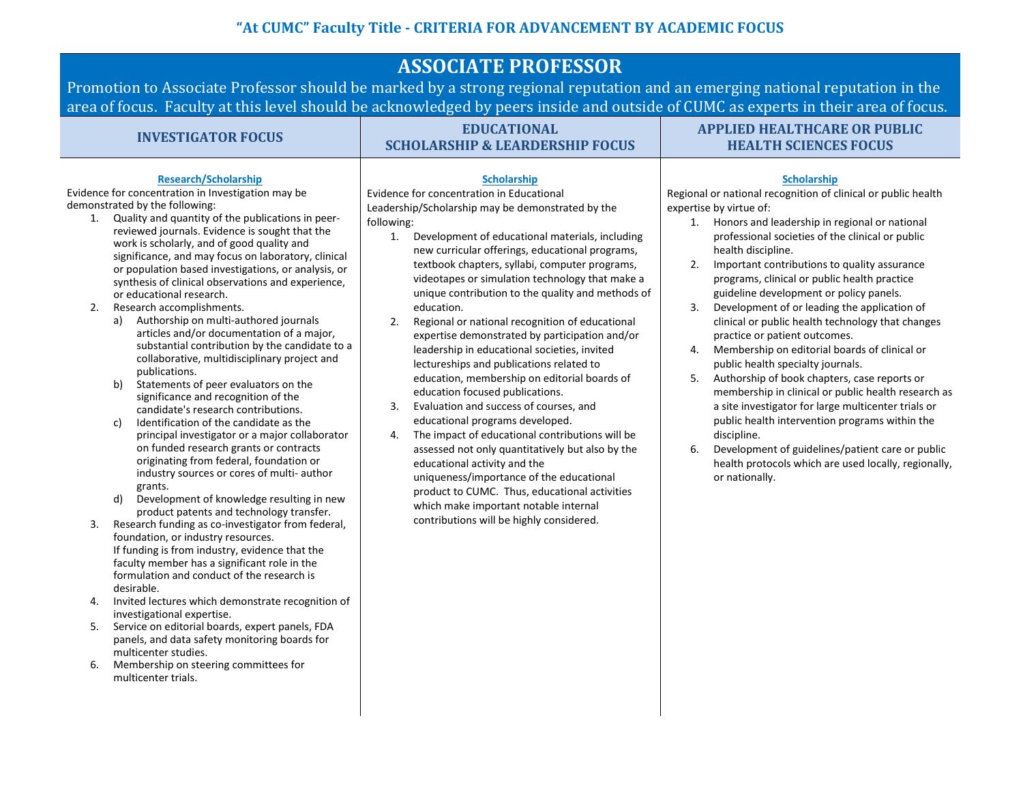# **ASSOCIATE PROFESSOR**

Promotion to Associate Professor should be marked by a strong regional reputation and an emerging national reputation in the area of focus. Faculty at this level should be acknowledged by peers inside and outside of CUMC as experts in their area of focus.

| <b>INVESTIGATOR FOCUS</b>                                                                                                                                                                                                                                                                                                                                                                                                                                                                                                                                                                                                                                                                                                                                                                                                                                                                                                                                                                                                                                                                                                                                                                                                                                                                                                                                                                                                                                                                                                                                                                                                    | <b>EDUCATIONAL</b><br><b>SCHOLARSHIP &amp; LEARDERSHIP FOCUS</b>                                                                                                                                                                                                                                                                                                                                                                                                                                                                                                                                                                                                                                                                                                                                                                                                                                                                                                                                                                                                                                                                   | <b>APPLIED HEALTHCARE OR PUBLIC</b><br><b>HEALTH SCIENCES FOCUS</b>                                                                                                                                                                                                                                                                                                                                                                                                                                                                                                                                                                                                                                                                                                                                                                                                                                                                                                                                               |
|------------------------------------------------------------------------------------------------------------------------------------------------------------------------------------------------------------------------------------------------------------------------------------------------------------------------------------------------------------------------------------------------------------------------------------------------------------------------------------------------------------------------------------------------------------------------------------------------------------------------------------------------------------------------------------------------------------------------------------------------------------------------------------------------------------------------------------------------------------------------------------------------------------------------------------------------------------------------------------------------------------------------------------------------------------------------------------------------------------------------------------------------------------------------------------------------------------------------------------------------------------------------------------------------------------------------------------------------------------------------------------------------------------------------------------------------------------------------------------------------------------------------------------------------------------------------------------------------------------------------------|------------------------------------------------------------------------------------------------------------------------------------------------------------------------------------------------------------------------------------------------------------------------------------------------------------------------------------------------------------------------------------------------------------------------------------------------------------------------------------------------------------------------------------------------------------------------------------------------------------------------------------------------------------------------------------------------------------------------------------------------------------------------------------------------------------------------------------------------------------------------------------------------------------------------------------------------------------------------------------------------------------------------------------------------------------------------------------------------------------------------------------|-------------------------------------------------------------------------------------------------------------------------------------------------------------------------------------------------------------------------------------------------------------------------------------------------------------------------------------------------------------------------------------------------------------------------------------------------------------------------------------------------------------------------------------------------------------------------------------------------------------------------------------------------------------------------------------------------------------------------------------------------------------------------------------------------------------------------------------------------------------------------------------------------------------------------------------------------------------------------------------------------------------------|
| <b>Research/Scholarship</b><br>Evidence for concentration in Investigation may be<br>demonstrated by the following:<br>Quality and quantity of the publications in peer-<br>1.<br>reviewed journals. Evidence is sought that the<br>work is scholarly, and of good quality and<br>significance, and may focus on laboratory, clinical<br>or population based investigations, or analysis, or<br>synthesis of clinical observations and experience,<br>or educational research.<br>Research accomplishments.<br>2.<br>Authorship on multi-authored journals<br>a)<br>articles and/or documentation of a major,<br>substantial contribution by the candidate to a<br>collaborative, multidisciplinary project and<br>publications.<br>Statements of peer evaluators on the<br>b)<br>significance and recognition of the<br>candidate's research contributions.<br>Identification of the candidate as the<br>c)<br>principal investigator or a major collaborator<br>on funded research grants or contracts<br>originating from federal, foundation or<br>industry sources or cores of multi- author<br>grants.<br>Development of knowledge resulting in new<br>d)<br>product patents and technology transfer.<br>Research funding as co-investigator from federal,<br>3.<br>foundation, or industry resources.<br>If funding is from industry, evidence that the<br>faculty member has a significant role in the<br>formulation and conduct of the research is<br>desirable.<br>Invited lectures which demonstrate recognition of<br>4.<br>investigational expertise.<br>Service on editorial boards, expert panels, FDA<br>5. | <b>Scholarship</b><br>Evidence for concentration in Educational<br>Leadership/Scholarship may be demonstrated by the<br>following:<br>Development of educational materials, including<br>1.<br>new curricular offerings, educational programs,<br>textbook chapters, syllabi, computer programs,<br>videotapes or simulation technology that make a<br>unique contribution to the quality and methods of<br>education.<br>Regional or national recognition of educational<br>2.<br>expertise demonstrated by participation and/or<br>leadership in educational societies, invited<br>lectureships and publications related to<br>education, membership on editorial boards of<br>education focused publications.<br>Evaluation and success of courses, and<br>3.<br>educational programs developed.<br>The impact of educational contributions will be<br>4.<br>assessed not only quantitatively but also by the<br>educational activity and the<br>uniqueness/importance of the educational<br>product to CUMC. Thus, educational activities<br>which make important notable internal<br>contributions will be highly considered. | <b>Scholarship</b><br>Regional or national recognition of clinical or public health<br>expertise by virtue of:<br>Honors and leadership in regional or national<br>1.<br>professional societies of the clinical or public<br>health discipline.<br>Important contributions to quality assurance<br>2.<br>programs, clinical or public health practice<br>guideline development or policy panels.<br>Development of or leading the application of<br>3.<br>clinical or public health technology that changes<br>practice or patient outcomes.<br>Membership on editorial boards of clinical or<br>4.<br>public health specialty journals.<br>Authorship of book chapters, case reports or<br>5.<br>membership in clinical or public health research as<br>a site investigator for large multicenter trials or<br>public health intervention programs within the<br>discipline.<br>Development of guidelines/patient care or public<br>6.<br>health protocols which are used locally, regionally,<br>or nationally. |
| panels, and data safety monitoring boards for                                                                                                                                                                                                                                                                                                                                                                                                                                                                                                                                                                                                                                                                                                                                                                                                                                                                                                                                                                                                                                                                                                                                                                                                                                                                                                                                                                                                                                                                                                                                                                                |                                                                                                                                                                                                                                                                                                                                                                                                                                                                                                                                                                                                                                                                                                                                                                                                                                                                                                                                                                                                                                                                                                                                    |                                                                                                                                                                                                                                                                                                                                                                                                                                                                                                                                                                                                                                                                                                                                                                                                                                                                                                                                                                                                                   |

6. Membership on steering committees for multicenter trials.

multicenter studies.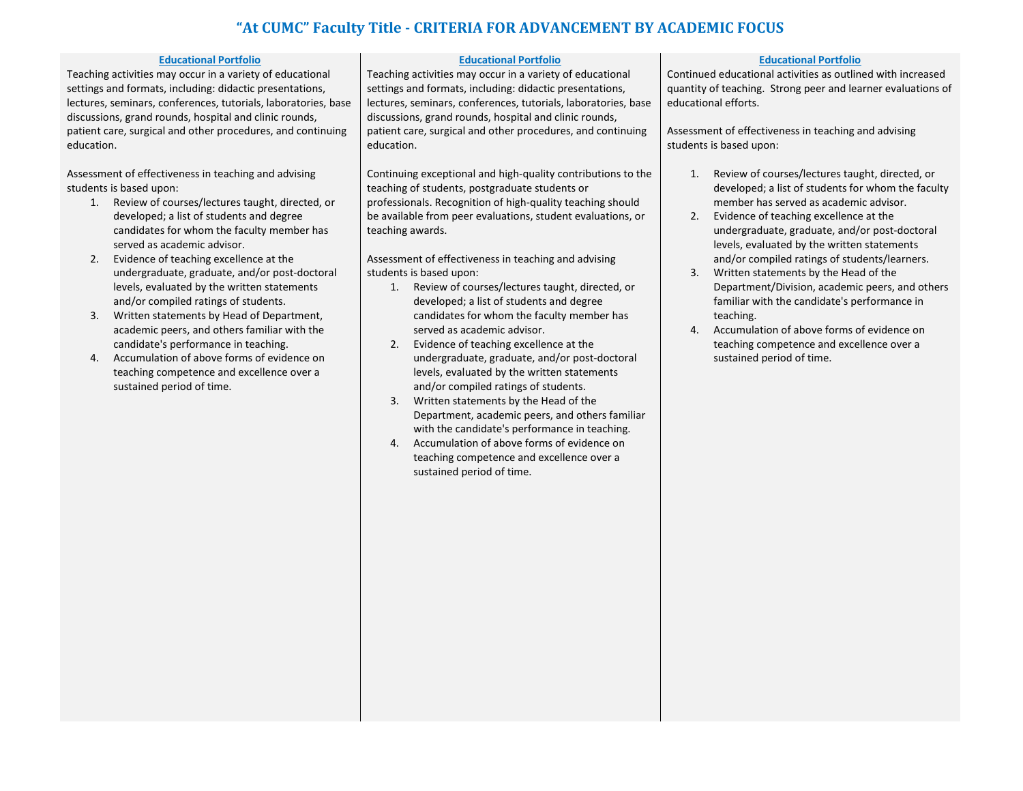### **Educational Portfolio**

Teaching activities may occur in a variety of educational settings and formats, including: didactic presentations, lectures, seminars, conferences, tutorials, laboratories, base discussions, grand rounds, hospital and clinic rounds, patient care, surgical and other procedures, and continuing education.

Assessment of effectiveness in teaching and advising students is based upon:

- 1. Review of courses/lectures taught, directed, or developed; a list of students and degree candidates for whom the faculty member has served as academic advisor.
- 2. Evidence of teaching excellence at the undergraduate, graduate, and/or post-doctoral levels, evaluated by the written statements and/or compiled ratings of students.
- 3. Written statements by Head of Department, academic peers, and others familiar with the candidate's performance in teaching.
- 4. Accumulation of above forms of evidence on teaching competence and excellence over a sustained period of time.

### **Educational Portfolio**

Teaching activities may occur in a variety of educational settings and formats, including: didactic presentations, lectures, seminars, conferences, tutorials, laboratories, base discussions, grand rounds, hospital and clinic rounds, patient care, surgical and other procedures, and continuing education.

Continuing exceptional and high-quality contributions to the teaching of students, postgraduate students or professionals. Recognition of high-quality teaching should be available from peer evaluations, student evaluations, or teaching awards.

Assessment of effectiveness in teaching and advising students is based upon:

- 1. Review of courses/lectures taught, directed, or developed; a list of students and degree candidates for whom the faculty member has served as academic advisor.
- 2. Evidence of teaching excellence at the undergraduate, graduate, and/or post-doctoral levels, evaluated by the written statements and/or compiled ratings of students.
- 3. Written statements by the Head of the Department, academic peers, and others familiar with the candidate's performance in teaching.
- 4. Accumulation of above forms of evidence on teaching competence and excellence over a sustained period of time.

### **Educational Portfolio**

Continued educational activities as outlined with increased quantity of teaching. Strong peer and learner evaluations of educational efforts.

Assessment of effectiveness in teaching and advising students is based upon:

- 1. Review of courses/lectures taught, directed, or developed; a list of students for whom the faculty member has served as academic advisor.
- 2. Evidence of teaching excellence at the undergraduate, graduate, and/or post-doctoral levels, evaluated by the written statements and/or compiled ratings of students/learners.
- 3. Written statements by the Head of the Department/Division, academic peers, and others familiar with the candidate's performance in teaching.
- 4. Accumulation of above forms of evidence on teaching competence and excellence over a sustained period of time.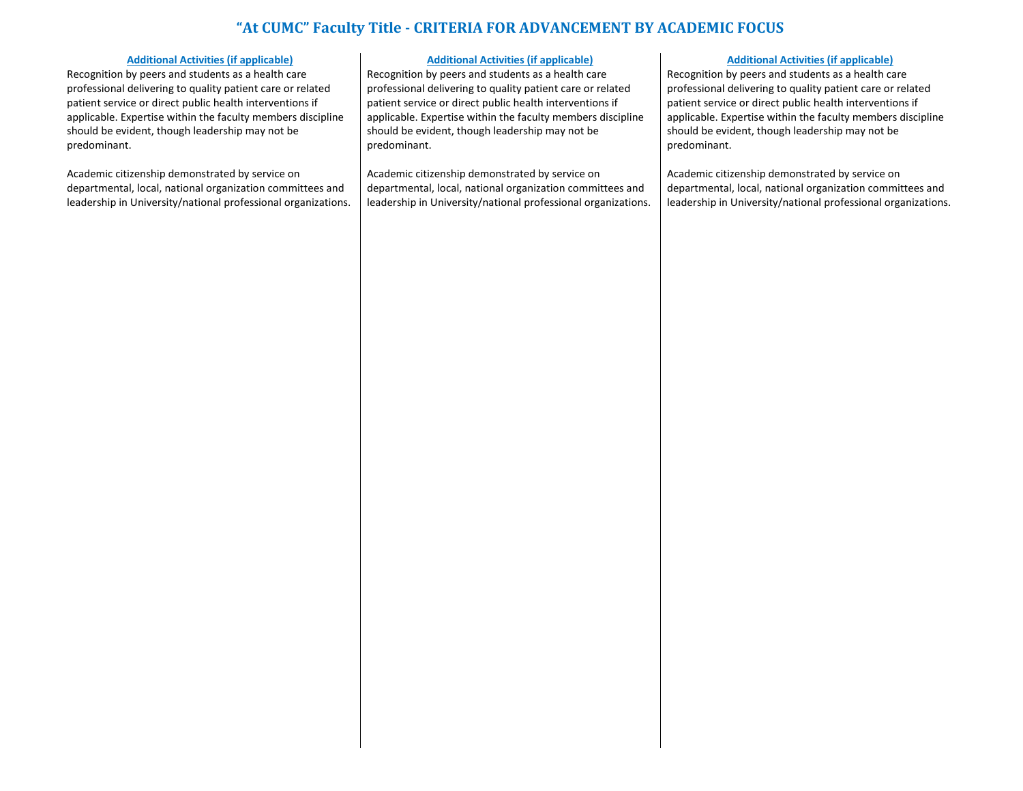### **Additional Activities (if applicable)**

Recognition by peers and students as a health care professional delivering to quality patient care or related patient service or direct public health interventions if applicable. Expertise within the faculty members discipline should be evident, though leadership may not be predominant.

Academic citizenship demonstrated by service on departmental, local, national organization committees and leadership in University/national professional organizations.

### **Additional Activities (if applicable)**

Recognition by peers and students as a health care professional delivering to quality patient care or related patient service or direct public health interventions if applicable. Expertise within the faculty members discipline should be evident, though leadership may not be predominant.

Academic citizenship demonstrated by service on departmental, local, national organization committees and leadership in University/national professional organizations.

#### **Additional Activities (if applicable)**

Recognition by peers and students as a health care professional delivering to quality patient care or related patient service or direct public health interventions if applicable. Expertise within the faculty members discipline should be evident, though leadership may not be predominant.

Academic citizenship demonstrated by service on departmental, local, national organization committees and leadership in University/national professional organizations.